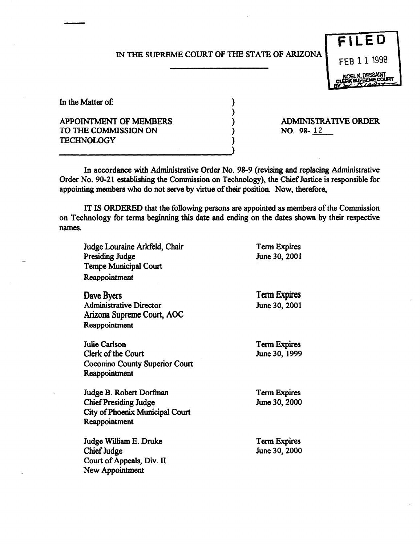## IN THE SUPREME COURT OF THE STATE OF ARIZONA

) ) ) ) )



In the Matter of:

## APPOINTMENT OF MEMBERS TO THE COMMISSION ON **TECHNOLOGY**

ADMINISTRATIVE ORDER NO. 98-12

In accordance with Administrative Order No. 98-9 (revising and replacing Administrative Order No. 90-21 establishing the Commission on Technology), the Chief Justice is responsible for appointing members who do not serve by virtue of their position. Now, therefore,

IT IS ORDERED that the following persons are appointed as members of the Commission on Technology for terms beginning this date and ending on the dates shown by their respective names.

| Judge Louraine Arkfeld, Chair<br>Presiding Judge<br><b>Tempe Municipal Court</b><br>Reappointment           | <b>Term Expires</b><br>June 30, 2001 |
|-------------------------------------------------------------------------------------------------------------|--------------------------------------|
| Dave Byers<br><b>Administrative Director</b><br>Arizona Supreme Court, AOC<br>Reappointment                 | <b>Term Expires</b><br>June 30, 2001 |
| Julie Carlson<br>Clerk of the Court<br>Coconino County Superior Court<br>Reappointment                      | <b>Term Expires</b><br>June 30, 1999 |
| Judge B. Robert Dorfman<br><b>Chief Presiding Judge</b><br>City of Phoenix Municipal Court<br>Reappointment | <b>Term Expires</b><br>June 30, 2000 |
| Judge William E. Druke<br>Chief Judge<br>Court of Appeals, Div. II<br>New Appointment                       | <b>Term Expires</b><br>June 30, 2000 |